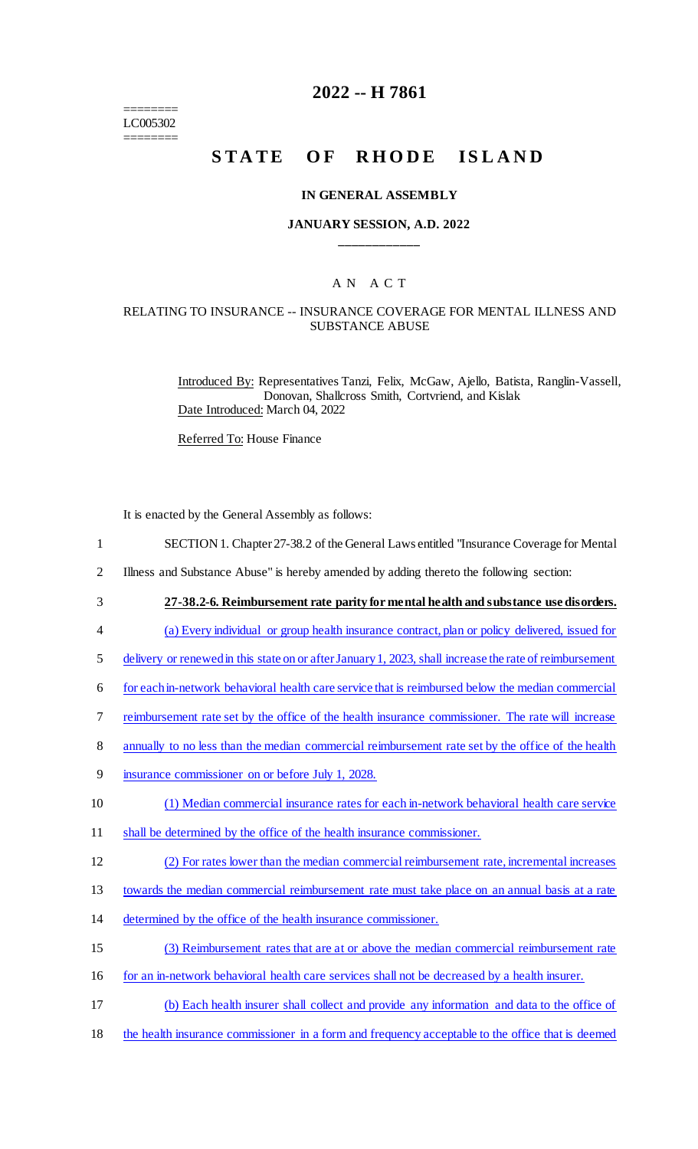======== LC005302 ========

# **2022 -- H 7861**

# STATE OF RHODE ISLAND

#### **IN GENERAL ASSEMBLY**

#### **JANUARY SESSION, A.D. 2022 \_\_\_\_\_\_\_\_\_\_\_\_**

## A N A C T

#### RELATING TO INSURANCE -- INSURANCE COVERAGE FOR MENTAL ILLNESS AND SUBSTANCE ABUSE

Introduced By: Representatives Tanzi, Felix, McGaw, Ajello, Batista, Ranglin-Vassell, Donovan, Shallcross Smith, Cortvriend, and Kislak Date Introduced: March 04, 2022

Referred To: House Finance

It is enacted by the General Assembly as follows:

- 1 SECTION 1. Chapter 27-38.2 of the General Laws entitled "Insurance Coverage for Mental
- 2 Illness and Substance Abuse" is hereby amended by adding thereto the following section:
- 3 **27-38.2-6. Reimbursement rate parity for mental health and substance use disorders.**
- 4 (a) Every individual or group health insurance contract, plan or policy delivered, issued for
- 5 delivery or renewed in this state on or after January 1, 2023, shall increase the rate of reimbursement
- 6 for each in-network behavioral health care service that is reimbursed below the median commercial
- 7 reimbursement rate set by the office of the health insurance commissioner. The rate will increase
- 8 annually to no less than the median commercial reimbursement rate set by the office of the health
- 9 insurance commissioner on or before July 1, 2028.
- 10 (1) Median commercial insurance rates for each in-network behavioral health care service
- 11 shall be determined by the office of the health insurance commissioner.
- 12 (2) For rates lower than the median commercial reimbursement rate, incremental increases
- 13 towards the median commercial reimbursement rate must take place on an annual basis at a rate
- 14 determined by the office of the health insurance commissioner.
- 15 (3) Reimbursement rates that are at or above the median commercial reimbursement rate
- 16 for an in-network behavioral health care services shall not be decreased by a health insurer.
- 17 (b) Each health insurer shall collect and provide any information and data to the office of
- 18 the health insurance commissioner in a form and frequency acceptable to the office that is deemed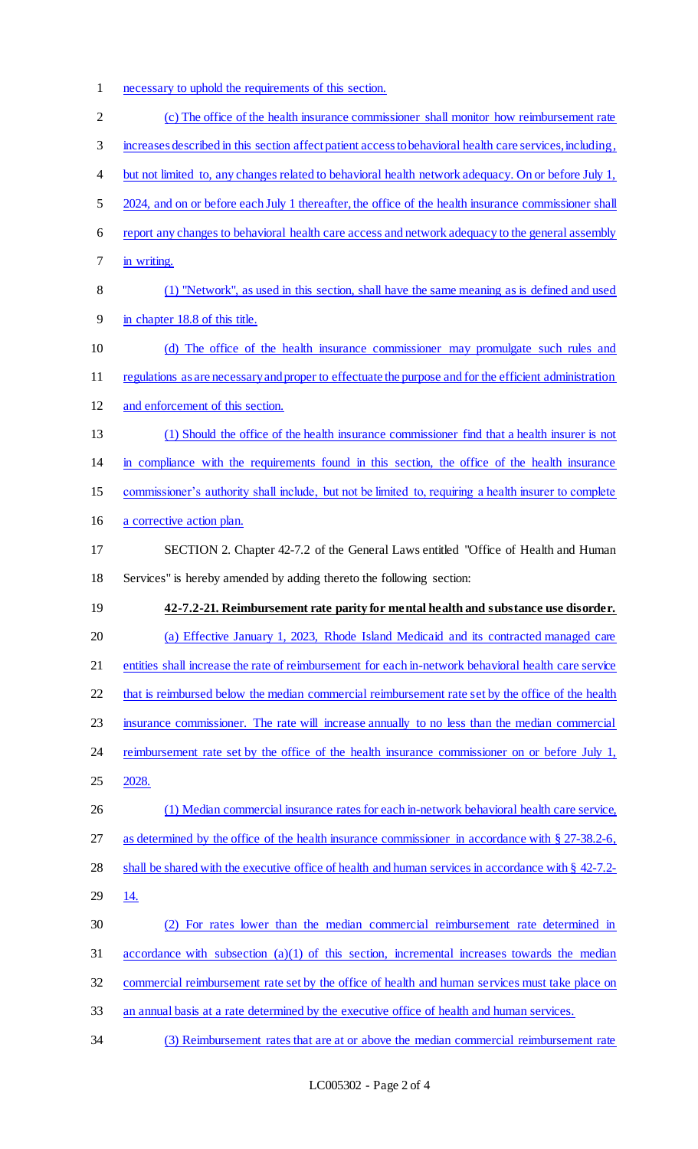- necessary to uphold the requirements of this section.
- (c) The office of the health insurance commissioner shall monitor how reimbursement rate increases described in this section affect patient access to behavioral health care services, including, 4 but not limited to, any changes related to behavioral health network adequacy. On or before July 1, 5 2024, and on or before each July 1 thereafter, the office of the health insurance commissioner shall report any changes to behavioral health care access and network adequacy to the general assembly in writing. (1) "Network", as used in this section, shall have the same meaning as is defined and used in chapter 18.8 of this title. (d) The office of the health insurance commissioner may promulgate such rules and 11 regulations as are necessary and proper to effectuate the purpose and for the efficient administration and enforcement of this section. (1) Should the office of the health insurance commissioner find that a health insurer is not in compliance with the requirements found in this section, the office of the health insurance commissioner's authority shall include, but not be limited to, requiring a health insurer to complete a corrective action plan. SECTION 2. Chapter 42-7.2 of the General Laws entitled "Office of Health and Human Services" is hereby amended by adding thereto the following section: **42-7.2-21. Reimbursement rate parity for mental health and substance use disorder.**  (a) Effective January 1, 2023, Rhode Island Medicaid and its contracted managed care entities shall increase the rate of reimbursement for each in-network behavioral health care service 22 that is reimbursed below the median commercial reimbursement rate set by the office of the health insurance commissioner. The rate will increase annually to no less than the median commercial 24 reimbursement rate set by the office of the health insurance commissioner on or before July 1, 2028. (1) Median commercial insurance rates for each in-network behavioral health care service, 27 as determined by the office of the health insurance commissioner in accordance with § 27-38.2-6, 28 shall be shared with the executive office of health and human services in accordance with § 42-7.2- 14. (2) For rates lower than the median commercial reimbursement rate determined in accordance with subsection (a)(1) of this section, incremental increases towards the median commercial reimbursement rate set by the office of health and human services must take place on an annual basis at a rate determined by the executive office of health and human services. (3) Reimbursement rates that are at or above the median commercial reimbursement rate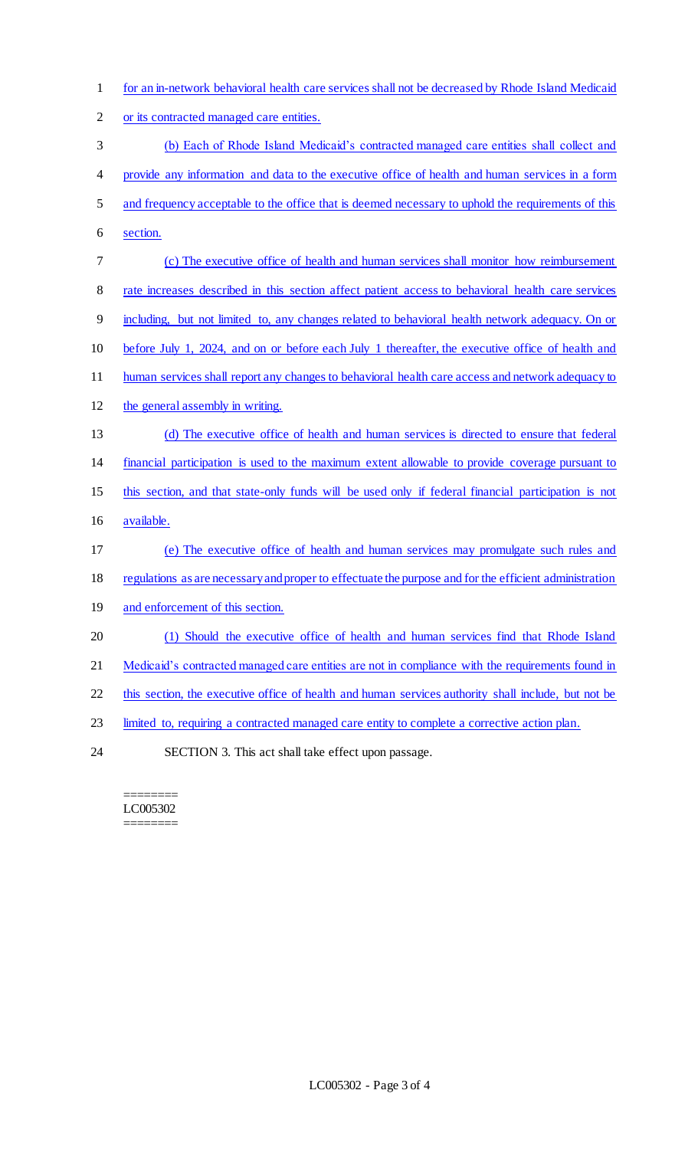| $\mathbf{1}$   | for an in-network behavioral health care services shall not be decreased by Rhode Island Medicaid      |
|----------------|--------------------------------------------------------------------------------------------------------|
| $\overline{2}$ | or its contracted managed care entities.                                                               |
| 3              | (b) Each of Rhode Island Medicaid's contracted managed care entities shall collect and                 |
| 4              | provide any information and data to the executive office of health and human services in a form        |
| 5              | and frequency acceptable to the office that is deemed necessary to uphold the requirements of this     |
| 6              | section.                                                                                               |
| 7              | (c) The executive office of health and human services shall monitor how reimbursement                  |
| 8              | rate increases described in this section affect patient access to behavioral health care services      |
| 9              | including, but not limited to, any changes related to behavioral health network adequacy. On or        |
| 10             | before July 1, 2024, and on or before each July 1 thereafter, the executive office of health and       |
| 11             | human services shall report any changes to behavioral health care access and network adequacy to       |
| 12             | the general assembly in writing.                                                                       |
| 13             | (d) The executive office of health and human services is directed to ensure that federal               |
| 14             | financial participation is used to the maximum extent allowable to provide coverage pursuant to        |
| 15             | this section, and that state-only funds will be used only if federal financial participation is not    |
| 16             | available.                                                                                             |
| 17             | (e) The executive office of health and human services may promulgate such rules and                    |
| 18             | regulations as are necessary and proper to effectuate the purpose and for the efficient administration |
| 19             | and enforcement of this section.                                                                       |
| 20             | (1) Should the executive office of health and human services find that Rhode Island                    |
| 21             | Medicaid's contracted managed care entities are not in compliance with the requirements found in       |
| 22             | this section, the executive office of health and human services authority shall include, but not be    |
| 23             | limited to, requiring a contracted managed care entity to complete a corrective action plan.           |
| 24             | SECTION 3. This act shall take effect upon passage.                                                    |

======== LC005302 ========